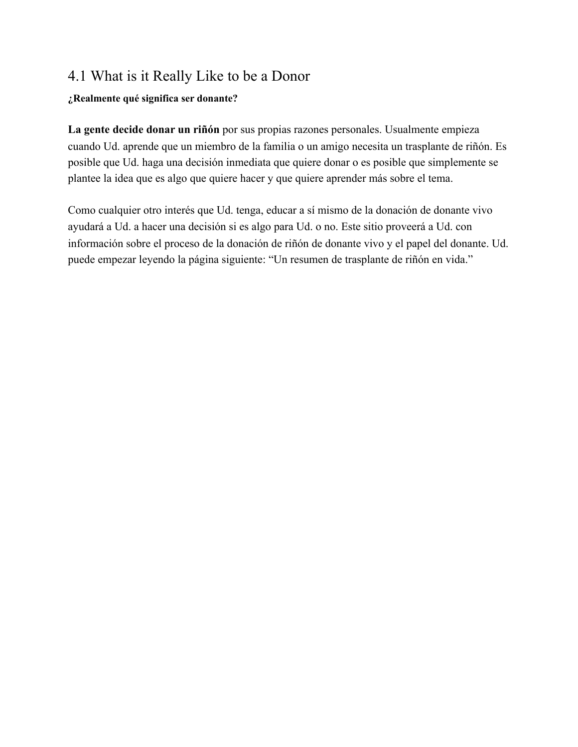## 4.1 What is it Really Like to be a Donor

## **¿Realmente qué significa ser donante?**

**La gente decide donar un riñón** por sus propias razones personales. Usualmente empieza cuando Ud. aprende que un miembro de la familia o un amigo necesita un trasplante de riñón. Es posible que Ud. haga una decisión inmediata que quiere donar o es posible que simplemente se plantee la idea que es algo que quiere hacer y que quiere aprender más sobre el tema.

Como cualquier otro interés que Ud. tenga, educar a sí mismo de la donación de donante vivo ayudará a Ud. a hacer una decisión si es algo para Ud. o no. Este sitio proveerá a Ud. con información sobre el proceso de la donación de riñón de donante vivo y el papel del donante. Ud. puede empezar leyendo la página siguiente: "Un resumen de trasplante de riñón en vida."